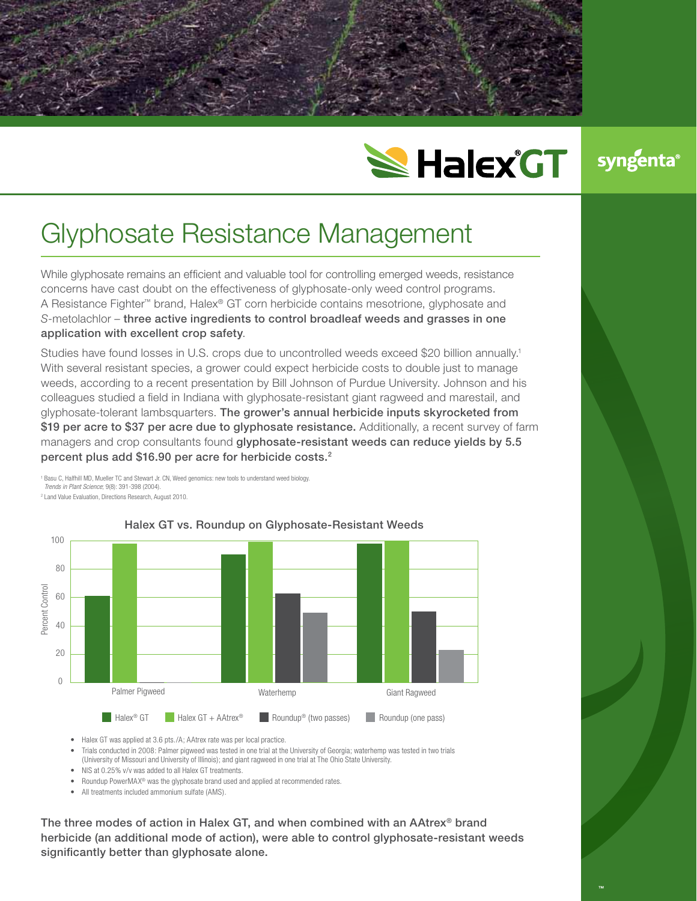



## Glyphosate Resistance Management

While glyphosate remains an efficient and valuable tool for controlling emerged weeds, resistance concerns have cast doubt on the effectiveness of glyphosate-only weed control programs. A Resistance Fighter™ brand, Halex® GT corn herbicide contains mesotrione, glyphosate and *S*-metolachlor – three active ingredients to control broadleaf weeds and grasses in one application with excellent crop safety.

Studies have found losses in U.S. crops due to uncontrolled weeds exceed \$20 billion annually.1 With several resistant species, a grower could expect herbicide costs to double just to manage weeds, according to a recent presentation by Bill Johnson of Purdue University. Johnson and his colleagues studied a field in Indiana with glyphosate-resistant giant ragweed and marestail, and glyphosate-tolerant lambsquarters. The grower's annual herbicide inputs skyrocketed from \$19 per acre to \$37 per acre due to glyphosate resistance. Additionally, a recent survey of farm managers and crop consultants found glyphosate-resistant weeds can reduce yields by 5.5 percent plus add \$16.90 per acre for herbicide costs.2

<sup>1</sup> Basu C, Halfhill MD, Mueller TC and Stewart Jr. CN, Weed genomics: new tools to understand weed biology. *Trends in Plant Science*; 9(8): 391-398 (2004). <sup>2</sup> Land Value Evaluation, Directions Research, August 2010.



## Halex GT vs. Roundup on Glyphosate-Resistant Weeds

• Halex GT was applied at 3.6 pts./A; AAtrex rate was per local practice.

- Trials conducted in 2008: Palmer pigweed was tested in one trial at the University of Georgia; waterhemp was tested in two trials (University of Missouri and University of Illinois); and giant ragweed in one trial at The Ohio State University.
- NIS at 0.25% v/v was added to all Halex GT treatments.
- Roundup PowerMAX<sup>®</sup> was the glyphosate brand used and applied at recommended rates.
- All treatments included ammonium sulfate (AMS).

The three modes of action in Halex GT, and when combined with an AAtrex® brand herbicide (an additional mode of action), were able to control glyphosate-resistant weeds significantly better than glyphosate alone.